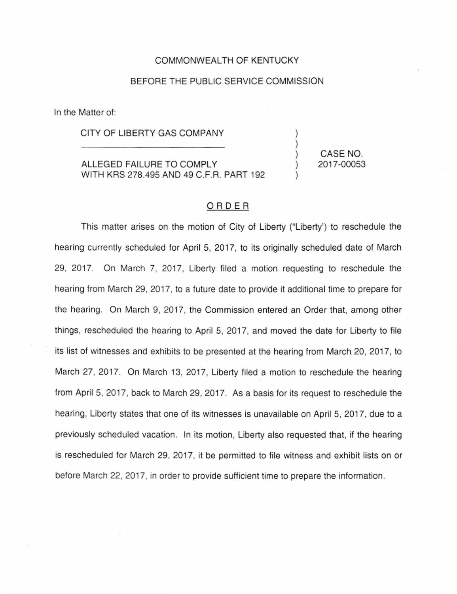## COMMONWEALTH OF KENTUCKY

## BEFORE THE PUBLIC SERVICE COMMISSION

In the Matter of:

CITY OF LIBERTY GAS COMPANY

ALLEGED FAILURE TO COMPLY WITH KRS 278.495 AND 49 C.F.R. PART 192

CASE NO. 2017-00053

## ORDER

This matter arises on the motion of City of Liberty ("Liberty') to reschedule the hearing currently scheduled for April 5, 2017, to its originally scheduled date of March 29, 2017. On March 7, 2017, Liberty filed a motion requesting to reschedule the hearing from March 29, 2017, to a future date to provide it additional time to prepare for the hearing. On March 9, 2017, the Commission entered an Order that, among other things, rescheduled the hearing to April 5, 2017, and moved the date for Liberty to file its list of witnesses and exhibits to be presented at the hearing from March 20, 2017, to March 27, 2017. On March 13, 2017, Liberty filed a motion to reschedule the hearing from April 5, 2017, back to March 29, 2017. As a basis for its request to reschedule the hearing, Liberty states that one of its witnesses is unavailable on April 5, 2017, due to a previously scheduled vacation. In its motion, Liberty also requested that, if the hearing is rescheduled for March 29, 2017, it be permitted to file witness and exhibit lists on or before March 22, 2017, in order to provide sufficient time to prepare the information.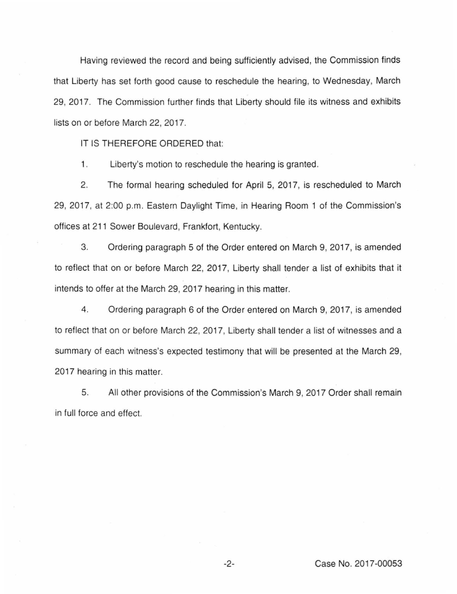Having reviewed the record and being sufficiently advised, the Commission finds that Liberty has set forth good cause to reschedule the hearing, to Wednesday, March 29, 2017. The Commission further finds that Liberty should file its witness and exhibits lists on or before March 22, 2017.

IT IS THEREFORE ORDERED that:

1. Liberty's motion to reschedule the hearing is granted.

2. The formal hearing scheduled for April 5, 2017, is rescheduled to March 29, 2017, at 2:00 p.m. Eastern Daylight Time, in Hearing Room 1 of the Commission's offices at 211 Sower Boulevard, Frankfort, Kentucky.

3. Ordering paragraph 5 of the Order entered on March 9, 2017, is amended to reflect that on or before March 22, 2017, Liberty shall tender a list of exhibits that it intends to offer at the March 29, 2017 hearing in this matter.

4. Ordering paragraph 6 of the Order entered on March 9, 2017, is amended to reflect that on or before March 22, 2017, Liberty shall tender a list of witnesses and a summary of each witness's expected testimony that will be presented at the March 29, 2017 hearing in this matter.

5. All other provisions of the Commission's March 9, 2017 Order shall remain in full force and effect.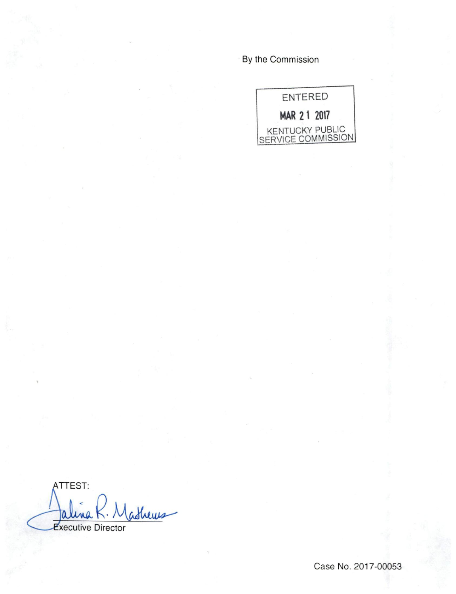By the Commission



ATTEST: atheres 0 **Executive Director** 

Case No. 2017-00053